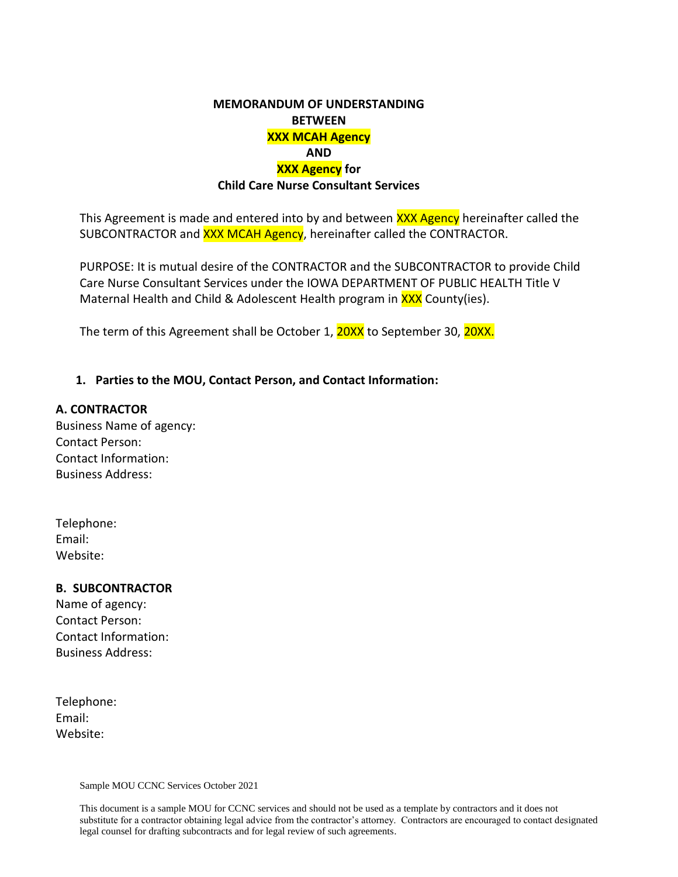## **MEMORANDUM OF UNDERSTANDING BETWEEN XXX MCAH Agency AND XXX Agency for Child Care Nurse Consultant Services**

This Agreement is made and entered into by and between XXX Agency hereinafter called the SUBCONTRACTOR and **XXX MCAH Agency**, hereinafter called the CONTRACTOR.

PURPOSE: It is mutual desire of the CONTRACTOR and the SUBCONTRACTOR to provide Child Care Nurse Consultant Services under the IOWA DEPARTMENT OF PUBLIC HEALTH Title V Maternal Health and Child & Adolescent Health program in XXX County(ies).

The term of this Agreement shall be October 1, 20XX to September 30, 20XX.

### **1. Parties to the MOU, Contact Person, and Contact Information:**

#### **A. CONTRACTOR**

Business Name of agency: Contact Person: Contact Information: Business Address:

| Telephone: |  |
|------------|--|
| Email:     |  |
| Website:   |  |

#### **B. SUBCONTRACTOR**

Name of agency: Contact Person: Contact Information: Business Address:

Telephone: Email: Website:

Sample MOU CCNC Services October 2021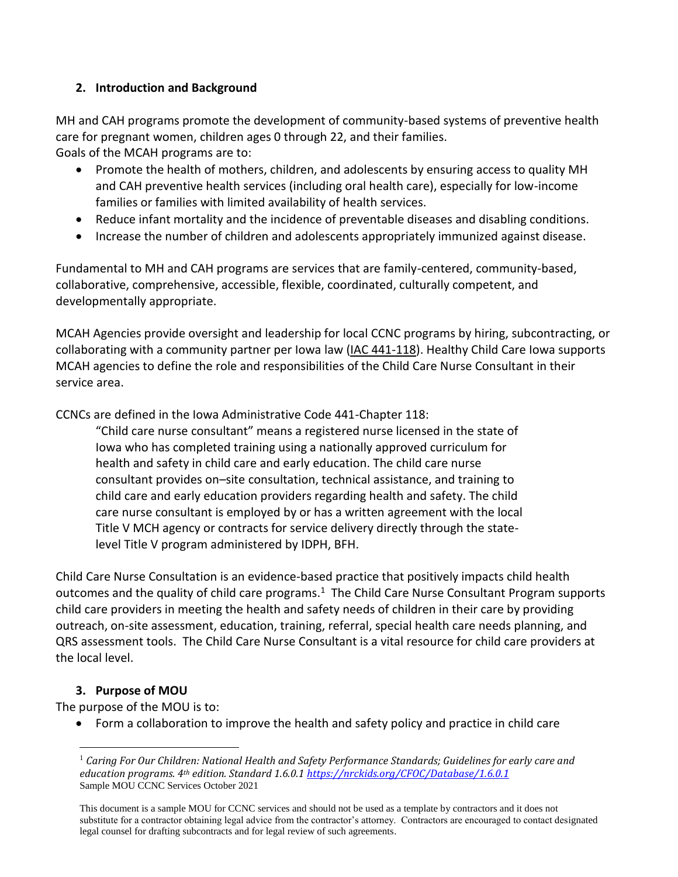## **2. Introduction and Background**

MH and CAH programs promote the development of community-based systems of preventive health care for pregnant women, children ages 0 through 22, and their families. Goals of the MCAH programs are to:

- Promote the health of mothers, children, and adolescents by ensuring access to quality MH and CAH preventive health services (including oral health care), especially for low-income families or families with limited availability of health services.
- Reduce infant mortality and the incidence of preventable diseases and disabling conditions.
- Increase the number of children and adolescents appropriately immunized against disease.

Fundamental to MH and CAH programs are services that are family-centered, community-based, collaborative, comprehensive, accessible, flexible, coordinated, culturally competent, and developmentally appropriate.

MCAH Agencies provide oversight and leadership for local CCNC programs by hiring, subcontracting, or collaborating with a community partner per Iowa law [\(IAC 441-118\)](https://www.legis.iowa.gov/law/administrativeRules/rules?agency=441&chapter=118&pubDate=01-20-2016). Healthy Child Care Iowa supports MCAH agencies to define the role and responsibilities of the Child Care Nurse Consultant in their service area.

CCNCs are defined in the Iowa Administrative Code 441-Chapter 118:

"Child care nurse consultant" means a registered nurse licensed in the state of Iowa who has completed training using a nationally approved curriculum for health and safety in child care and early education. The child care nurse consultant provides on–site consultation, technical assistance, and training to child care and early education providers regarding health and safety. The child care nurse consultant is employed by or has a written agreement with the local Title V MCH agency or contracts for service delivery directly through the statelevel Title V program administered by IDPH, BFH.

Child Care Nurse Consultation is an evidence-based practice that positively impacts child health outcomes and the quality of child care programs. $1$  The Child Care Nurse Consultant Program supports child care providers in meeting the health and safety needs of children in their care by providing outreach, on-site assessment, education, training, referral, special health care needs planning, and QRS assessment tools. The Child Care Nurse Consultant is a vital resource for child care providers at the local level.

## **3. Purpose of MOU**

The purpose of the MOU is to:

Form a collaboration to improve the health and safety policy and practice in child care

Sample MOU CCNC Services October 2021  $\overline{a}$ <sup>1</sup> *Caring For Our Children: National Health and Safety Performance Standards; Guidelines for early care and education programs. 4th edition. Standard 1.6.0.1 <https://nrckids.org/CFOC/Database/1.6.0.1>*

This document is a sample MOU for CCNC services and should not be used as a template by contractors and it does not substitute for a contractor obtaining legal advice from the contractor's attorney. Contractors are encouraged to contact designated legal counsel for drafting subcontracts and for legal review of such agreements.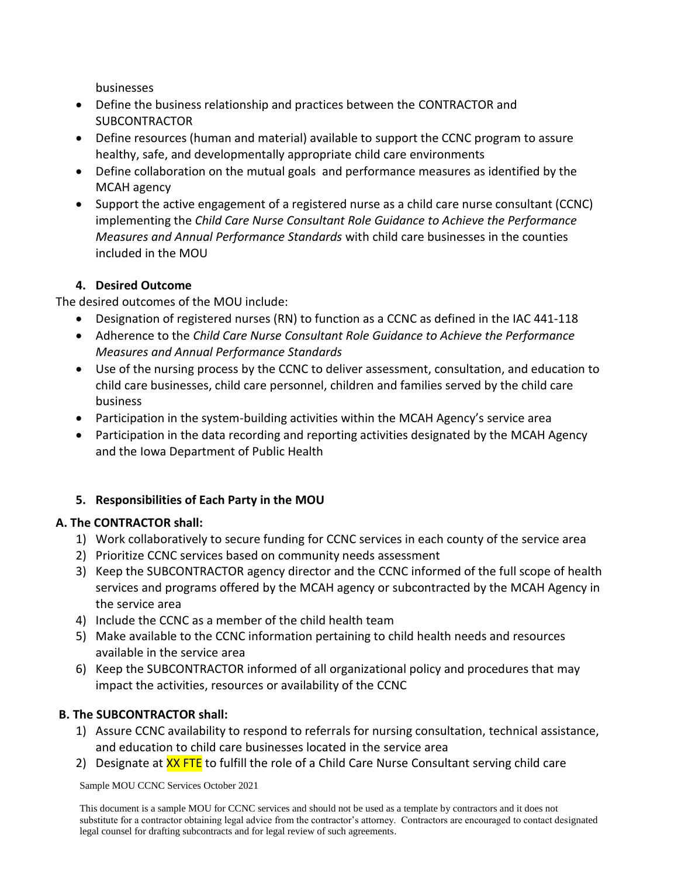businesses

- Define the business relationship and practices between the CONTRACTOR and **SUBCONTRACTOR**
- Define resources (human and material) available to support the CCNC program to assure healthy, safe, and developmentally appropriate child care environments
- Define collaboration on the mutual goals and performance measures as identified by the MCAH agency
- Support the active engagement of a registered nurse as a child care nurse consultant (CCNC) implementing the *Child Care Nurse Consultant Role Guidance to Achieve the Performance Measures and Annual Performance Standards* with child care businesses in the counties included in the MOU

## **4. Desired Outcome**

The desired outcomes of the MOU include:

- Designation of registered nurses (RN) to function as a CCNC as defined in the IAC 441-118
- Adherence to the *Child Care Nurse Consultant Role Guidance to Achieve the Performance Measures and Annual Performance Standards*
- Use of the nursing process by the CCNC to deliver assessment, consultation, and education to child care businesses, child care personnel, children and families served by the child care business
- Participation in the system-building activities within the MCAH Agency's service area
- Participation in the data recording and reporting activities designated by the MCAH Agency and the Iowa Department of Public Health

# **5. Responsibilities of Each Party in the MOU**

# **A. The CONTRACTOR shall:**

- 1) Work collaboratively to secure funding for CCNC services in each county of the service area
- 2) Prioritize CCNC services based on community needs assessment
- 3) Keep the SUBCONTRACTOR agency director and the CCNC informed of the full scope of health services and programs offered by the MCAH agency or subcontracted by the MCAH Agency in the service area
- 4) Include the CCNC as a member of the child health team
- 5) Make available to the CCNC information pertaining to child health needs and resources available in the service area
- 6) Keep the SUBCONTRACTOR informed of all organizational policy and procedures that may impact the activities, resources or availability of the CCNC

# **B. The SUBCONTRACTOR shall:**

- 1) Assure CCNC availability to respond to referrals for nursing consultation, technical assistance, and education to child care businesses located in the service area
- 2) Designate at **XX FTE** to fulfill the role of a Child Care Nurse Consultant serving child care

Sample MOU CCNC Services October 2021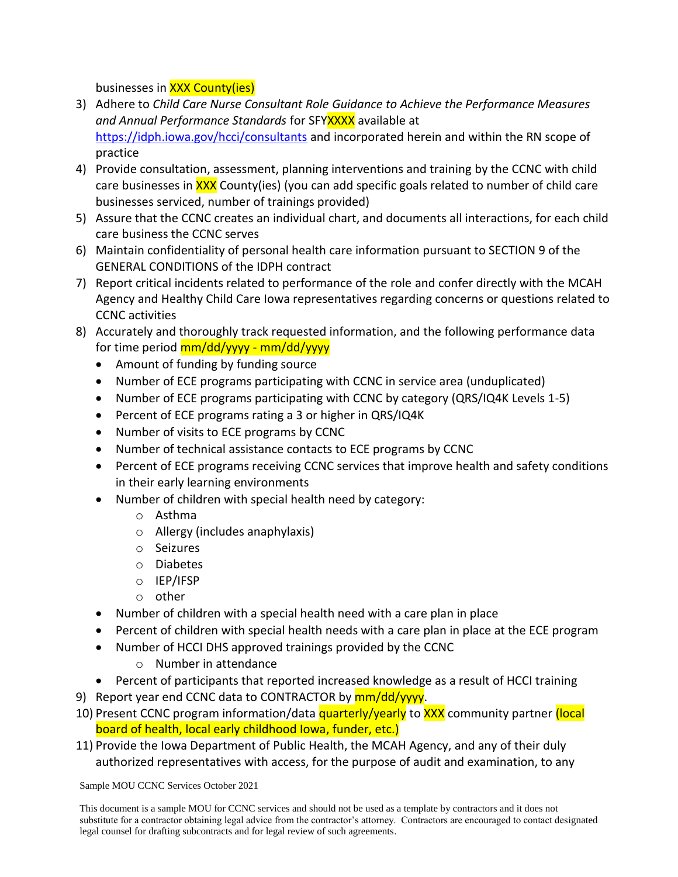businesses in XXX County(ies)

- 3) Adhere to *Child Care Nurse Consultant Role Guidance to Achieve the Performance Measures*  and Annual Performance Standards for SFY**XXXX** available at <https://idph.iowa.gov/hcci/consultants> and incorporated herein and within the RN scope of practice
- 4) Provide consultation, assessment, planning interventions and training by the CCNC with child care businesses in XXX County(ies) (you can add specific goals related to number of child care businesses serviced, number of trainings provided)
- 5) Assure that the CCNC creates an individual chart, and documents all interactions, for each child care business the CCNC serves
- 6) Maintain confidentiality of personal health care information pursuant to SECTION 9 of the GENERAL CONDITIONS of the IDPH contract
- 7) Report critical incidents related to performance of the role and confer directly with the MCAH Agency and Healthy Child Care Iowa representatives regarding concerns or questions related to CCNC activities
- 8) Accurately and thoroughly track requested information, and the following performance data for time period mm/dd/yyyy - mm/dd/yyyy
	- Amount of funding by funding source
	- Number of ECE programs participating with CCNC in service area (unduplicated)
	- Number of ECE programs participating with CCNC by category (QRS/IQ4K Levels 1-5)
	- Percent of ECE programs rating a 3 or higher in QRS/IQ4K
	- Number of visits to ECE programs by CCNC
	- Number of technical assistance contacts to ECE programs by CCNC
	- Percent of ECE programs receiving CCNC services that improve health and safety conditions in their early learning environments
	- Number of children with special health need by category:
		- o Asthma
		- o Allergy (includes anaphylaxis)
		- o Seizures
		- o Diabetes
		- o IEP/IFSP
		- o other
	- Number of children with a special health need with a care plan in place
	- Percent of children with special health needs with a care plan in place at the ECE program
	- Number of HCCI DHS approved trainings provided by the CCNC
		- o Number in attendance
	- Percent of participants that reported increased knowledge as a result of HCCI training
- 9) Report year end CCNC data to CONTRACTOR by mm/dd/yyyy.
- 10) Present CCNC program information/data quarterly/yearly to XXX community partner (local board of health, local early childhood Iowa, funder, etc.)
- 11) Provide the Iowa Department of Public Health, the MCAH Agency, and any of their duly authorized representatives with access, for the purpose of audit and examination, to any

Sample MOU CCNC Services October 2021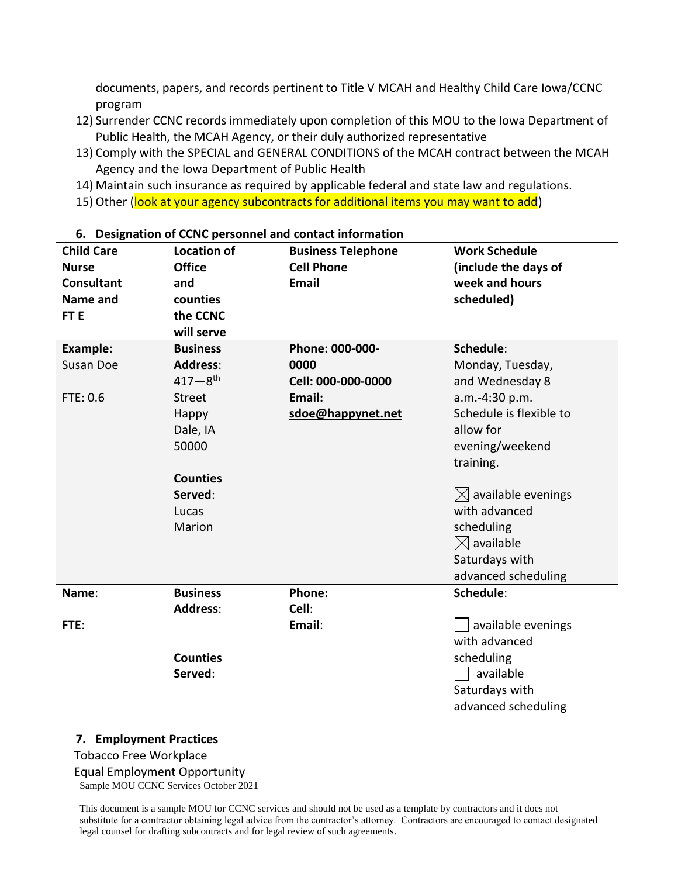documents, papers, and records pertinent to Title V MCAH and Healthy Child Care Iowa/CCNC program

- 12) Surrender CCNC records immediately upon completion of this MOU to the Iowa Department of Public Health, the MCAH Agency, or their duly authorized representative
- 13) Comply with the SPECIAL and GENERAL CONDITIONS of the MCAH contract between the MCAH Agency and the Iowa Department of Public Health
- 14) Maintain such insurance as required by applicable federal and state law and regulations.
- 15) Other (look at your agency subcontracts for additional items you may want to add)

| <b>Child Care</b> | <b>Location of</b>      | <b>Business Telephone</b> | <b>Work Schedule</b>         |
|-------------------|-------------------------|---------------------------|------------------------------|
| <b>Nurse</b>      | <b>Office</b>           | <b>Cell Phone</b>         | (include the days of         |
| <b>Consultant</b> | and                     | <b>Email</b>              | week and hours               |
| Name and          | counties                |                           | scheduled)                   |
| FT <sub>E</sub>   | the CCNC                |                           |                              |
|                   | will serve              |                           |                              |
| <b>Example:</b>   | <b>Business</b>         | Phone: 000-000-           | Schedule:                    |
| Susan Doe         | <b>Address:</b>         | 0000                      | Monday, Tuesday,             |
|                   | $417 - 8$ <sup>th</sup> | Cell: 000-000-0000        | and Wednesday 8              |
| FTE: 0.6          | <b>Street</b>           | Email:                    | a.m.-4:30 p.m.               |
|                   | Happy                   | sdoe@happynet.net         | Schedule is flexible to      |
|                   | Dale, IA                |                           | allow for                    |
|                   | 50000                   |                           | evening/weekend              |
|                   |                         |                           | training.                    |
|                   | <b>Counties</b>         |                           |                              |
|                   | Served:                 |                           | $\bowtie$ available evenings |
|                   | Lucas                   |                           | with advanced                |
|                   | Marion                  |                           | scheduling                   |
|                   |                         |                           | $\boxtimes$ available        |
|                   |                         |                           | Saturdays with               |
|                   |                         |                           | advanced scheduling          |
| Name:             | <b>Business</b>         | Phone:                    | Schedule:                    |
|                   | <b>Address:</b>         | Cell:                     |                              |
| FTE:              |                         | Email:                    | available evenings           |
|                   |                         |                           | with advanced                |
|                   | <b>Counties</b>         |                           | scheduling                   |
|                   | Served:                 |                           | available                    |
|                   |                         |                           | Saturdays with               |
|                   |                         |                           | advanced scheduling          |

#### **6. Designation of CCNC personnel and contact information**

## **7. Employment Practices**

Tobacco Free Workplace

Equal Employment Opportunity

Sample MOU CCNC Services October 2021